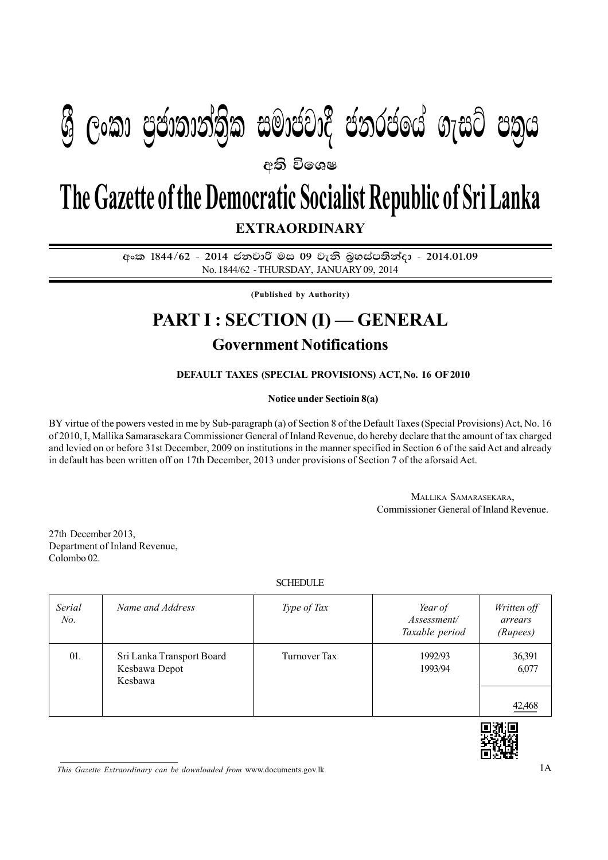# **යු ලංකා පුජාතාන්තික සමාජවාදී ජනරජයේ ගැසට් පතුය**

අති වි**ං**ශෂ

## **EXTRAORDINARY The Gazette of the Democratic Socialist Republic of Sri Lanka**

අංක 1844/62 - 2014 ජනවාරි මස 09 වැනි බුහස්පතින්දා - 2014.01.09 No. 1844/62 - THURSDAY, JANUARY 09, 2014

**(Published by Authority)**

## **PART I : SECTION (I) — GENERAL**

### **Government Notifications**

#### **DEFAULT TAXES (SPECIAL PROVISIONS) ACT, No. 16 OF 2010**

#### **Notice under Sectioin 8(a)**

BY virtue of the powers vested in me by Sub-paragraph (a) of Section 8 of the Default Taxes (Special Provisions) Act, No. 16 of 2010, I, Mallika Samarasekara Commissioner General of Inland Revenue, do hereby declare that the amount of tax charged and levied on or before 31st December, 2009 on institutions in the manner specified in Section 6 of the said Act and already in default has been written off on 17th December, 2013 under provisions of Section 7 of the aforsaid Act.

> MALLIKA SAMARASEKARA, Commissioner General of Inland Revenue.

27th December 2013, Department of Inland Revenue, Colombo 02.

#### **SCHEDULE**

| Serial<br>No. | Name and Address                                      | Type of Tax  | Year of<br>Assessment/<br>Taxable period | Written off<br>arrears<br>(Rupees) |
|---------------|-------------------------------------------------------|--------------|------------------------------------------|------------------------------------|
| 01.           | Sri Lanka Transport Board<br>Kesbawa Depot<br>Kesbawa | Turnover Tax | 1992/93<br>1993/94                       | 36,391<br>6,077                    |
|               |                                                       |              |                                          | 42,468                             |



*This Gazette Extraordinary can be downloaded from* www.documents.gov.lk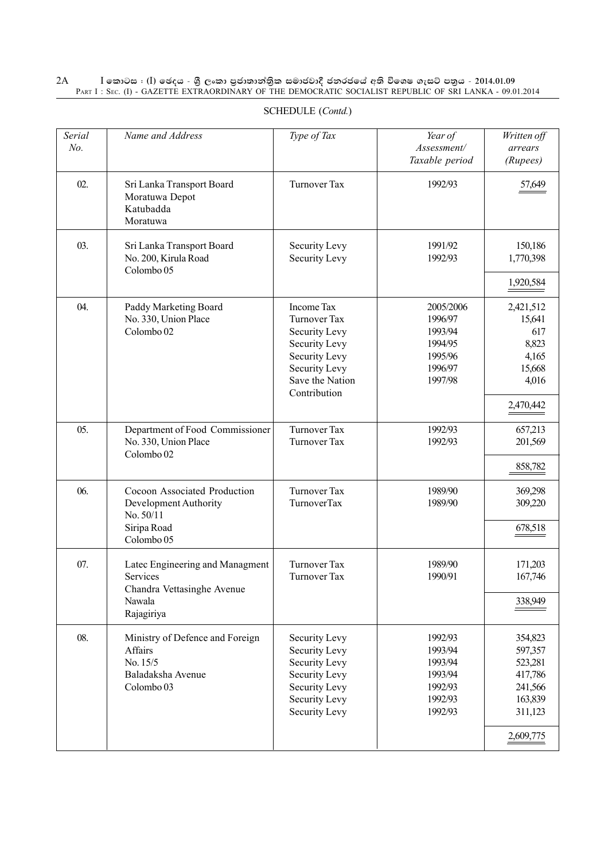#### 2A I **fldgi ( ^**I**& fPoh - Y S % ,xld m %cd;dk a; s %l iudcjd§ ckrcfh a w; s úfYI .eiÜ m; %h - 2014'01'09** PART I : SEC. (I) - GAZETTE EXTRAORDINARY OF THE DEMOCRATIC SOCIALIST REPUBLIC OF SRI LANKA - 09.01.2014

| Name and Address                                                                                  | Type of Tax                                                                                                                                     | Year of<br>Assessment/<br>Taxable period                                    | Written off<br>arrears<br>(Rupees)                                                        |
|---------------------------------------------------------------------------------------------------|-------------------------------------------------------------------------------------------------------------------------------------------------|-----------------------------------------------------------------------------|-------------------------------------------------------------------------------------------|
| Sri Lanka Transport Board<br>Moratuwa Depot<br>Katubadda<br>Moratuwa                              | <b>Turnover Tax</b>                                                                                                                             | 1992/93                                                                     | 57,649                                                                                    |
| Sri Lanka Transport Board<br>No. 200, Kirula Road<br>Colombo 05                                   | Security Levy<br><b>Security Levy</b>                                                                                                           | 1991/92<br>1992/93                                                          | 150,186<br>1,770,398                                                                      |
| Paddy Marketing Board<br>No. 330, Union Place<br>Colombo <sub>02</sub>                            | <b>Income Tax</b><br>Turnover Tax<br>Security Levy<br><b>Security Levy</b><br>Security Levy<br>Security Levy<br>Save the Nation<br>Contribution | 2005/2006<br>1996/97<br>1993/94<br>1994/95<br>1995/96<br>1996/97<br>1997/98 | 1,920,584<br>2,421,512<br>15,641<br>617<br>8,823<br>4,165<br>15,668<br>4,016<br>2,470,442 |
| Department of Food Commissioner<br>No. 330, Union Place<br>Colombo <sub>02</sub>                  | <b>Turnover Tax</b><br>Turnover Tax                                                                                                             | 1992/93<br>1992/93                                                          | 657,213<br>201,569<br>858,782                                                             |
| Cocoon Associated Production<br>Development Authority<br>No. 50/11<br>Siripa Road<br>Colombo 05   | <b>Turnover Tax</b><br>TurnoverTax                                                                                                              | 1989/90<br>1989/90                                                          | 369,298<br>309,220<br>$\frac{678,518}{2}$                                                 |
| Latec Engineering and Managment<br>Services<br>Chandra Vettasinghe Avenue<br>Nawala<br>Rajagiriya | <b>Turnover Tax</b><br><b>Turnover Tax</b>                                                                                                      | 1989/90<br>1990/91                                                          | 171,203<br>167,746<br>338,949                                                             |
| Ministry of Defence and Foreign<br>Affairs<br>No. 15/5<br>Baladaksha Avenue<br>Colombo 03         | Security Levy<br>Security Levy<br>Security Levy<br>Security Levy<br>Security Levy<br>Security Levy<br>Security Levy                             | 1992/93<br>1993/94<br>1993/94<br>1993/94<br>1992/93<br>1992/93<br>1992/93   | 354,823<br>597,357<br>523,281<br>417,786<br>241,566<br>163,839<br>311,123<br>2,609,775    |
|                                                                                                   |                                                                                                                                                 |                                                                             |                                                                                           |

#### SCHEDULE (*Contd.*)